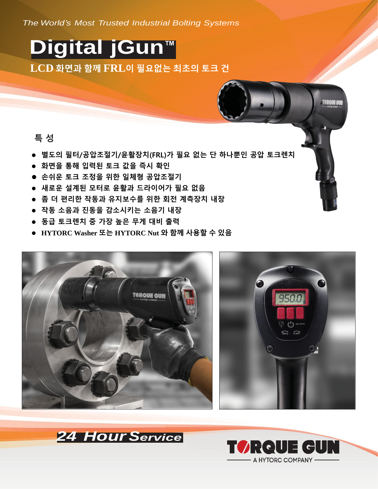*The World's Most Trusted Industrial Bolting Systems*

## **Digital jGun™ LCD** 화면과 함께 **FRL**이 필요없는 최초의 토크 건

## 특 성

- 별도의 필터/공압조절기/윤활장치(FRL)가 필요 없는 단 하나뿐인 공압 토크렌치
- 화면을 통해 입력된 토크 값을 즉시 확인
- 손쉬운 토크 조정을 위한 일체형 공압조절기
- 새로운 설계된 모터로 윤활과 드라이어가 필요 없음
- 좀 더 편리한 작동과 유지보수를 위한 회전 계측장치 내장
- 작동 소음과 진동을 감소시키는 소음기 내장
- 동급 토크렌치 중 가장 높은 무게 대비 출력
- **HYTORC Washer** 또는 **HYTORC Nut** 와 함께 사용할 수 있음





![](_page_0_Picture_13.jpeg)

![](_page_0_Picture_14.jpeg)